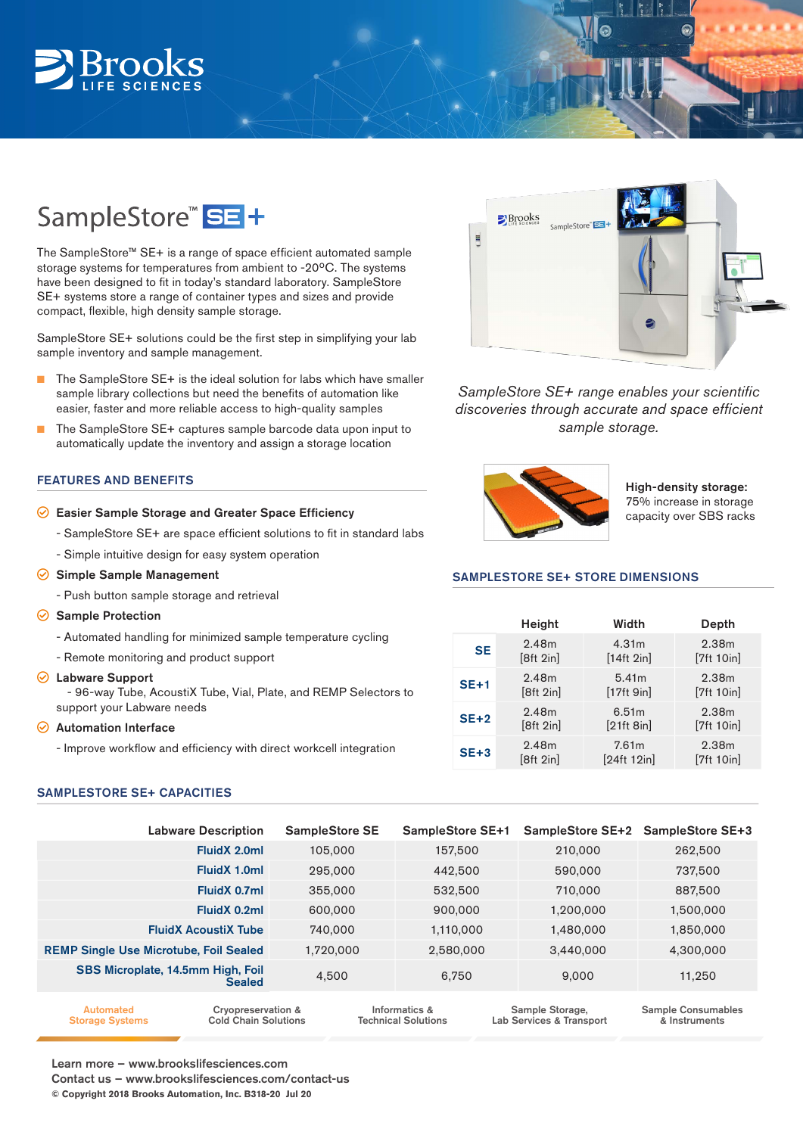# **Broo**

# SampleStore<sup>™</sup> SE<sup>+</sup>

The SampleStore™ SE+ is a range of space efficient automated sample storage systems for temperatures from ambient to -20ºC. The systems have been designed to fit in today's standard laboratory. SampleStore SE+ systems store a range of container types and sizes and provide compact, flexible, high density sample storage.

SampleStore SE+ solutions could be the first step in simplifying your lab sample inventory and sample management.

- The SampleStore SE+ is the ideal solution for labs which have smaller sample library collections but need the benefits of automation like easier, faster and more reliable access to high-quality samples
- The SampleStore SE+ captures sample barcode data upon input to automatically update the inventory and assign a storage location

## FEATURES AND BENEFITS

#### $\odot$  Easier Sample Storage and Greater Space Efficiency

- SampleStore SE+ are space efficient solutions to fit in standard labs
- Simple intuitive design for easy system operation
- $\odot$  Simple Sample Management
	- Push button sample storage and retrieval
- $\odot$  Sample Protection
	- Automated handling for minimized sample temperature cycling
	- Remote monitoring and product support
- $\odot$  Labware Support

- 96-way Tube, AcoustiX Tube, Vial, Plate, and REMP Selectors to support your Labware needs

#### $\odot$  Automation Interface

- Improve workflow and efficiency with direct workcell integration

### SAMPLESTORE SE+ CAPACITIES



 $\frac{1}{3}$ 

 $\Omega$ 

*SampleStore SE+ range enables your scientific discoveries through accurate and space efficient sample storage.*



High-density storage: 75% increase in storage capacity over SBS racks

### SAMPLESTORE SE+ STORE DIMENSIONS

|           | Height    | Width             | Depth             |
|-----------|-----------|-------------------|-------------------|
| <b>SE</b> | 2.48m     | 4.31 <sub>m</sub> | 2.38 <sub>m</sub> |
|           | [8ft 2in] | [14ft 2in]        | [7ft 10in]        |
| $SE+1$    | 2.48m     | 5.41m             | 2.38 <sub>m</sub> |
|           | [8ft 2in] | [17ft 9in]        | [7ft 10in]        |
| $SE+2$    | 2.48m     | 6.51m             | 2.38 <sub>m</sub> |
|           | [8ft 2in] | [21ft 8in]        | [7ft 10in]        |
| $SE+3$    | 2.48m     | 7.61m             | 2.38 <sub>m</sub> |
|           | [8ft 2in] | [24ft 12in]       | [7ft 10in]        |

| <b>Labware Description</b>                         | <b>SampleStore SE</b> | <b>SampleStore SE+1</b> |           | SampleStore SE+2 SampleStore SE+3 |
|----------------------------------------------------|-----------------------|-------------------------|-----------|-----------------------------------|
| FluidX 2.0ml                                       | 105,000               | 157,500                 | 210,000   | 262,500                           |
| FluidX 1.0ml                                       | 295,000               | 442,500                 | 590,000   | 737,500                           |
| FluidX 0.7ml                                       | 355,000               | 532,500                 | 710,000   | 887,500                           |
| FluidX 0.2ml                                       | 600,000               | 900,000                 | 1,200,000 | 1,500,000                         |
| <b>FluidX AcoustiX Tube</b>                        | 740,000               | 1,110,000               | 1,480,000 | 1,850,000                         |
| <b>REMP Single Use Microtube, Foil Sealed</b>      | 1,720,000             | 2,580,000               | 3,440,000 | 4,300,000                         |
| SBS Microplate, 14.5mm High, Foil<br><b>Sealed</b> | 4,500                 | 6.750                   | 9.000     | 11.250                            |
|                                                    |                       |                         |           |                                   |

Cryopreservation & Cold Chain Solutions Sample Storage, Lab Services & Transport Automated Storage Systems Informatics & Technical Solutions Sample Consumables & Instruments

Learn more – www.brookslifesciences.com

Contact us – www.brookslifesciences.com/contact-us

**© Copyright 2018 Brooks Automation, Inc. B318-20 Jul 20**